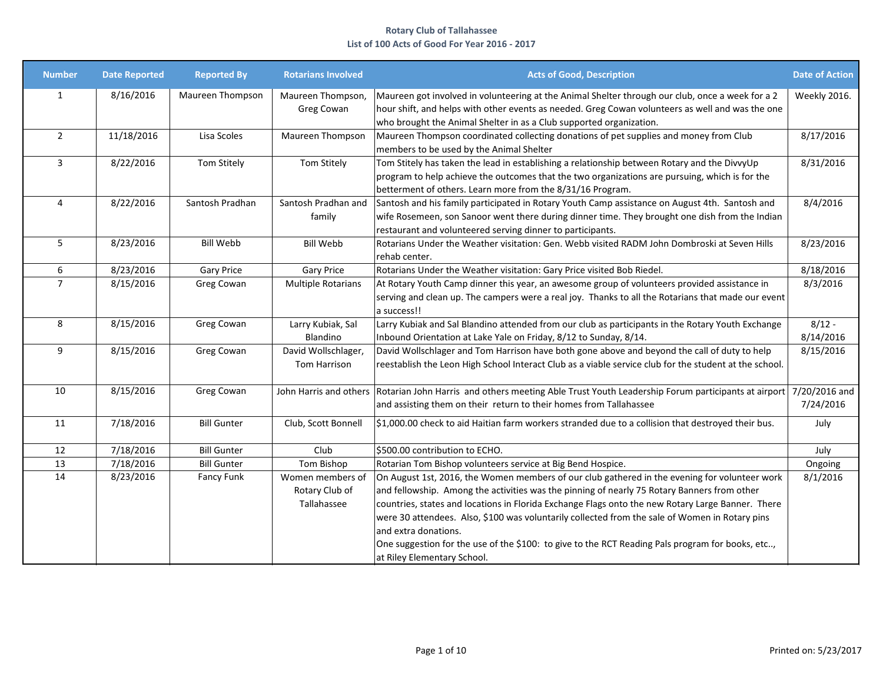| <b>Number</b>  | <b>Date Reported</b> | <b>Reported By</b> | <b>Rotarians Involved</b>                         | <b>Acts of Good, Description</b>                                                                                                                                                                                                                                                                                                                                                                                                                                                                                                                               | <b>Date of Action</b> |
|----------------|----------------------|--------------------|---------------------------------------------------|----------------------------------------------------------------------------------------------------------------------------------------------------------------------------------------------------------------------------------------------------------------------------------------------------------------------------------------------------------------------------------------------------------------------------------------------------------------------------------------------------------------------------------------------------------------|-----------------------|
| 1              | 8/16/2016            | Maureen Thompson   | Maureen Thompson,<br>Greg Cowan                   | Maureen got involved in volunteering at the Animal Shelter through our club, once a week for a 2<br>hour shift, and helps with other events as needed. Greg Cowan volunteers as well and was the one<br>who brought the Animal Shelter in as a Club supported organization.                                                                                                                                                                                                                                                                                    | Weekly 2016.          |
| $\overline{2}$ | 11/18/2016           | Lisa Scoles        | Maureen Thompson                                  | Maureen Thompson coordinated collecting donations of pet supplies and money from Club<br>members to be used by the Animal Shelter                                                                                                                                                                                                                                                                                                                                                                                                                              | 8/17/2016             |
| 3              | 8/22/2016            | Tom Stitely        | Tom Stitely                                       | Tom Stitely has taken the lead in establishing a relationship between Rotary and the DivvyUp<br>program to help achieve the outcomes that the two organizations are pursuing, which is for the<br>betterment of others. Learn more from the 8/31/16 Program.                                                                                                                                                                                                                                                                                                   | 8/31/2016             |
| 4              | 8/22/2016            | Santosh Pradhan    | Santosh Pradhan and<br>family                     | Santosh and his family participated in Rotary Youth Camp assistance on August 4th. Santosh and<br>wife Rosemeen, son Sanoor went there during dinner time. They brought one dish from the Indian<br>restaurant and volunteered serving dinner to participants.                                                                                                                                                                                                                                                                                                 | 8/4/2016              |
| 5              | 8/23/2016            | <b>Bill Webb</b>   | <b>Bill Webb</b>                                  | Rotarians Under the Weather visitation: Gen. Webb visited RADM John Dombroski at Seven Hills<br>rehab center.                                                                                                                                                                                                                                                                                                                                                                                                                                                  | 8/23/2016             |
| 6              | 8/23/2016            | <b>Gary Price</b>  | Gary Price                                        | Rotarians Under the Weather visitation: Gary Price visited Bob Riedel.                                                                                                                                                                                                                                                                                                                                                                                                                                                                                         | 8/18/2016             |
| $\overline{7}$ | 8/15/2016            | Greg Cowan         | <b>Multiple Rotarians</b>                         | At Rotary Youth Camp dinner this year, an awesome group of volunteers provided assistance in<br>serving and clean up. The campers were a real joy. Thanks to all the Rotarians that made our event<br>a success!!                                                                                                                                                                                                                                                                                                                                              | 8/3/2016              |
| 8              | 8/15/2016            | Greg Cowan         | Larry Kubiak, Sal<br>Blandino                     | Larry Kubiak and Sal Blandino attended from our club as participants in the Rotary Youth Exchange<br>Inbound Orientation at Lake Yale on Friday, 8/12 to Sunday, 8/14.                                                                                                                                                                                                                                                                                                                                                                                         | $8/12 -$<br>8/14/2016 |
| 9              | 8/15/2016            | Greg Cowan         | David Wollschlager,<br>Tom Harrison               | David Wollschlager and Tom Harrison have both gone above and beyond the call of duty to help<br>reestablish the Leon High School Interact Club as a viable service club for the student at the school.                                                                                                                                                                                                                                                                                                                                                         | 8/15/2016             |
| 10             | 8/15/2016            | Greg Cowan         | John Harris and others                            | Rotarian John Harris and others meeting Able Trust Youth Leadership Forum participants at airport 7/20/2016 and<br>and assisting them on their return to their homes from Tallahassee                                                                                                                                                                                                                                                                                                                                                                          | 7/24/2016             |
| 11             | 7/18/2016            | <b>Bill Gunter</b> | Club, Scott Bonnell                               | \$1,000.00 check to aid Haitian farm workers stranded due to a collision that destroyed their bus.                                                                                                                                                                                                                                                                                                                                                                                                                                                             | July                  |
| 12             | 7/18/2016            | <b>Bill Gunter</b> | Club                                              | \$500.00 contribution to ECHO.                                                                                                                                                                                                                                                                                                                                                                                                                                                                                                                                 | July                  |
| 13             | 7/18/2016            | <b>Bill Gunter</b> | Tom Bishop                                        | Rotarian Tom Bishop volunteers service at Big Bend Hospice.                                                                                                                                                                                                                                                                                                                                                                                                                                                                                                    | Ongoing               |
| 14             | 8/23/2016            | Fancy Funk         | Women members of<br>Rotary Club of<br>Tallahassee | On August 1st, 2016, the Women members of our club gathered in the evening for volunteer work<br>and fellowship. Among the activities was the pinning of nearly 75 Rotary Banners from other<br>countries, states and locations in Florida Exchange Flags onto the new Rotary Large Banner. There<br>were 30 attendees. Also, \$100 was voluntarily collected from the sale of Women in Rotary pins<br>and extra donations.<br>One suggestion for the use of the \$100: to give to the RCT Reading Pals program for books, etc,<br>at Riley Elementary School. | 8/1/2016              |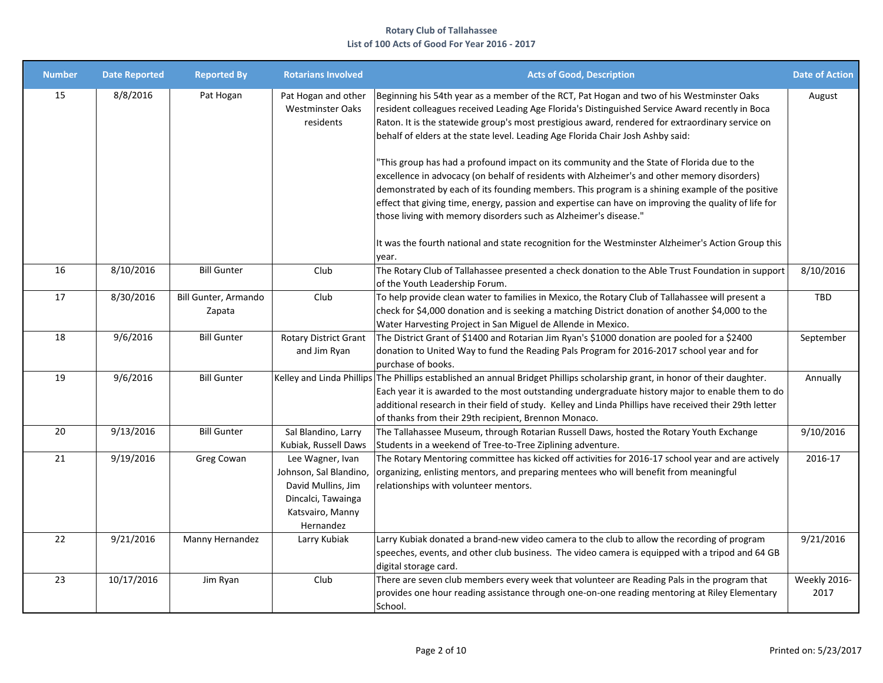| <b>Number</b> | <b>Date Reported</b> | <b>Reported By</b>             | <b>Rotarians Involved</b>                                                                                               | <b>Acts of Good, Description</b>                                                                                                                                                                                                                                                                                                                                                                                                                                                                                                                                                                                                                                                                                                                                                                                                                                                                                                                                     | <b>Date of Action</b> |
|---------------|----------------------|--------------------------------|-------------------------------------------------------------------------------------------------------------------------|----------------------------------------------------------------------------------------------------------------------------------------------------------------------------------------------------------------------------------------------------------------------------------------------------------------------------------------------------------------------------------------------------------------------------------------------------------------------------------------------------------------------------------------------------------------------------------------------------------------------------------------------------------------------------------------------------------------------------------------------------------------------------------------------------------------------------------------------------------------------------------------------------------------------------------------------------------------------|-----------------------|
| 15            | 8/8/2016             | Pat Hogan                      | Pat Hogan and other<br><b>Westminster Oaks</b><br>residents                                                             | Beginning his 54th year as a member of the RCT, Pat Hogan and two of his Westminster Oaks<br>resident colleagues received Leading Age Florida's Distinguished Service Award recently in Boca<br>Raton. It is the statewide group's most prestigious award, rendered for extraordinary service on<br>behalf of elders at the state level. Leading Age Florida Chair Josh Ashby said:<br>This group has had a profound impact on its community and the State of Florida due to the<br>excellence in advocacy (on behalf of residents with Alzheimer's and other memory disorders)<br>demonstrated by each of its founding members. This program is a shining example of the positive<br>effect that giving time, energy, passion and expertise can have on improving the quality of life for<br>those living with memory disorders such as Alzheimer's disease."<br>It was the fourth national and state recognition for the Westminster Alzheimer's Action Group this | August                |
| 16            | 8/10/2016            | <b>Bill Gunter</b>             | Club                                                                                                                    | year.<br>The Rotary Club of Tallahassee presented a check donation to the Able Trust Foundation in support<br>of the Youth Leadership Forum.                                                                                                                                                                                                                                                                                                                                                                                                                                                                                                                                                                                                                                                                                                                                                                                                                         | 8/10/2016             |
| 17            | 8/30/2016            | Bill Gunter, Armando<br>Zapata | Club                                                                                                                    | To help provide clean water to families in Mexico, the Rotary Club of Tallahassee will present a<br>check for \$4,000 donation and is seeking a matching District donation of another \$4,000 to the<br>Water Harvesting Project in San Miguel de Allende in Mexico.                                                                                                                                                                                                                                                                                                                                                                                                                                                                                                                                                                                                                                                                                                 | TBD                   |
| 18            | 9/6/2016             | <b>Bill Gunter</b>             | Rotary District Grant<br>and Jim Ryan                                                                                   | The District Grant of \$1400 and Rotarian Jim Ryan's \$1000 donation are pooled for a \$2400<br>donation to United Way to fund the Reading Pals Program for 2016-2017 school year and for<br>purchase of books.                                                                                                                                                                                                                                                                                                                                                                                                                                                                                                                                                                                                                                                                                                                                                      | September             |
| 19            | 9/6/2016             | <b>Bill Gunter</b>             |                                                                                                                         | Kelley and Linda Phillips The Phillips established an annual Bridget Phillips scholarship grant, in honor of their daughter.<br>Each year it is awarded to the most outstanding undergraduate history major to enable them to do<br>additional research in their field of study. Kelley and Linda Phillips have received their 29th letter<br>of thanks from their 29th recipient, Brennon Monaco.                                                                                                                                                                                                                                                                                                                                                                                                                                                                                                                                                                   | Annually              |
| 20            | 9/13/2016            | <b>Bill Gunter</b>             | Sal Blandino, Larry<br>Kubiak, Russell Daws                                                                             | The Tallahassee Museum, through Rotarian Russell Daws, hosted the Rotary Youth Exchange<br>Students in a weekend of Tree-to-Tree Ziplining adventure.                                                                                                                                                                                                                                                                                                                                                                                                                                                                                                                                                                                                                                                                                                                                                                                                                | 9/10/2016             |
| 21            | 9/19/2016            | Greg Cowan                     | Lee Wagner, Ivan<br>Johnson, Sal Blandino,<br>David Mullins, Jim<br>Dincalci, Tawainga<br>Katsvairo, Manny<br>Hernandez | The Rotary Mentoring committee has kicked off activities for 2016-17 school year and are actively<br>organizing, enlisting mentors, and preparing mentees who will benefit from meaningful<br>relationships with volunteer mentors.                                                                                                                                                                                                                                                                                                                                                                                                                                                                                                                                                                                                                                                                                                                                  | 2016-17               |
| 22            | 9/21/2016            | Manny Hernandez                | Larry Kubiak                                                                                                            | Larry Kubiak donated a brand-new video camera to the club to allow the recording of program<br>speeches, events, and other club business. The video camera is equipped with a tripod and 64 GB<br>digital storage card.                                                                                                                                                                                                                                                                                                                                                                                                                                                                                                                                                                                                                                                                                                                                              | 9/21/2016             |
| 23            | 10/17/2016           | Jim Ryan                       | Club                                                                                                                    | There are seven club members every week that volunteer are Reading Pals in the program that<br>provides one hour reading assistance through one-on-one reading mentoring at Riley Elementary<br>School.                                                                                                                                                                                                                                                                                                                                                                                                                                                                                                                                                                                                                                                                                                                                                              | Weekly 2016-<br>2017  |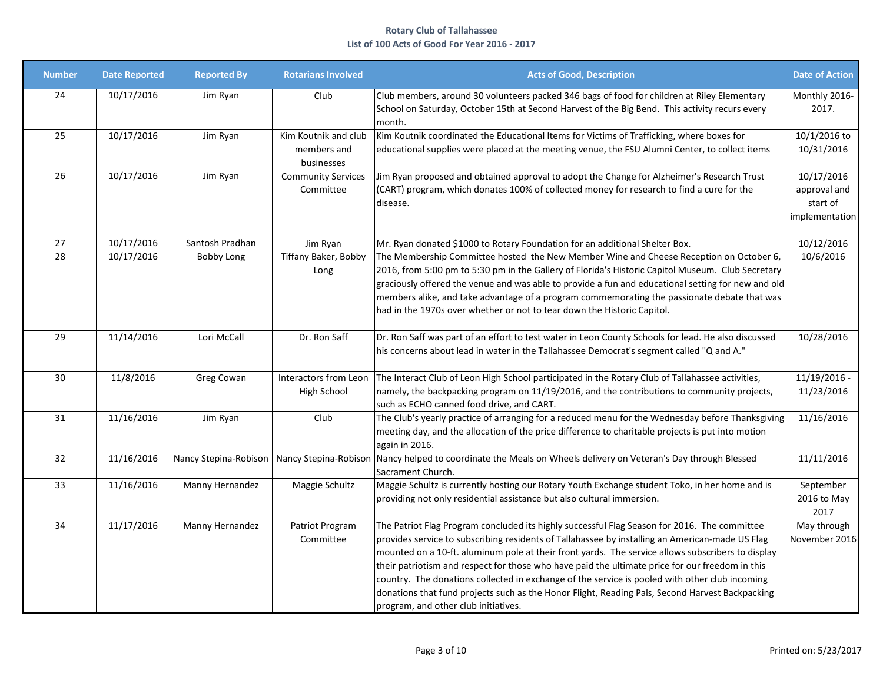| <b>Number</b> | <b>Date Reported</b> | <b>Reported By</b>    | <b>Rotarians Involved</b>                         | <b>Acts of Good, Description</b>                                                                                                                                                                                                                                                                                                                                                                                                                                                                                                                                                                                                                     | <b>Date of Action</b>                                    |
|---------------|----------------------|-----------------------|---------------------------------------------------|------------------------------------------------------------------------------------------------------------------------------------------------------------------------------------------------------------------------------------------------------------------------------------------------------------------------------------------------------------------------------------------------------------------------------------------------------------------------------------------------------------------------------------------------------------------------------------------------------------------------------------------------------|----------------------------------------------------------|
| 24            | 10/17/2016           | Jim Ryan              | Club                                              | Club members, around 30 volunteers packed 346 bags of food for children at Riley Elementary<br>School on Saturday, October 15th at Second Harvest of the Big Bend. This activity recurs every<br>month.                                                                                                                                                                                                                                                                                                                                                                                                                                              | Monthly 2016-<br>2017.                                   |
| 25            | 10/17/2016           | Jim Ryan              | Kim Koutnik and club<br>members and<br>businesses | Kim Koutnik coordinated the Educational Items for Victims of Trafficking, where boxes for<br>educational supplies were placed at the meeting venue, the FSU Alumni Center, to collect items                                                                                                                                                                                                                                                                                                                                                                                                                                                          | 10/1/2016 to<br>10/31/2016                               |
| 26            | 10/17/2016           | Jim Ryan              | <b>Community Services</b><br>Committee            | Jim Ryan proposed and obtained approval to adopt the Change for Alzheimer's Research Trust<br>(CART) program, which donates 100% of collected money for research to find a cure for the<br>disease.                                                                                                                                                                                                                                                                                                                                                                                                                                                  | 10/17/2016<br>approval and<br>start of<br>implementation |
| 27            | 10/17/2016           | Santosh Pradhan       | Jim Ryan                                          | Mr. Ryan donated \$1000 to Rotary Foundation for an additional Shelter Box.                                                                                                                                                                                                                                                                                                                                                                                                                                                                                                                                                                          | 10/12/2016                                               |
| 28            | 10/17/2016           | Bobby Long            | Tiffany Baker, Bobby<br>Long                      | The Membership Committee hosted the New Member Wine and Cheese Reception on October 6,<br>2016, from 5:00 pm to 5:30 pm in the Gallery of Florida's Historic Capitol Museum. Club Secretary<br>graciously offered the venue and was able to provide a fun and educational setting for new and old<br>members alike, and take advantage of a program commemorating the passionate debate that was<br>had in the 1970s over whether or not to tear down the Historic Capitol.                                                                                                                                                                          | 10/6/2016                                                |
| 29            | 11/14/2016           | Lori McCall           | Dr. Ron Saff                                      | Dr. Ron Saff was part of an effort to test water in Leon County Schools for lead. He also discussed<br>his concerns about lead in water in the Tallahassee Democrat's segment called "Q and A."                                                                                                                                                                                                                                                                                                                                                                                                                                                      | 10/28/2016                                               |
| 30            | 11/8/2016            | Greg Cowan            | Interactors from Leon<br>High School              | The Interact Club of Leon High School participated in the Rotary Club of Tallahassee activities,<br>namely, the backpacking program on 11/19/2016, and the contributions to community projects,<br>such as ECHO canned food drive, and CART.                                                                                                                                                                                                                                                                                                                                                                                                         | 11/19/2016 -<br>11/23/2016                               |
| 31            | 11/16/2016           | Jim Ryan              | Club                                              | The Club's yearly practice of arranging for a reduced menu for the Wednesday before Thanksgiving<br>meeting day, and the allocation of the price difference to charitable projects is put into motion<br>again in 2016.                                                                                                                                                                                                                                                                                                                                                                                                                              | 11/16/2016                                               |
| 32            | 11/16/2016           | Nancy Stepina-Robison |                                                   | Nancy Stepina-Robison   Nancy helped to coordinate the Meals on Wheels delivery on Veteran's Day through Blessed<br>Sacrament Church.                                                                                                                                                                                                                                                                                                                                                                                                                                                                                                                | 11/11/2016                                               |
| 33            | 11/16/2016           | Manny Hernandez       | Maggie Schultz                                    | Maggie Schultz is currently hosting our Rotary Youth Exchange student Toko, in her home and is<br>providing not only residential assistance but also cultural immersion.                                                                                                                                                                                                                                                                                                                                                                                                                                                                             | September<br>2016 to May<br>2017                         |
| 34            | 11/17/2016           | Manny Hernandez       | Patriot Program<br>Committee                      | The Patriot Flag Program concluded its highly successful Flag Season for 2016. The committee<br>provides service to subscribing residents of Tallahassee by installing an American-made US Flag<br>mounted on a 10-ft. aluminum pole at their front yards. The service allows subscribers to display<br>their patriotism and respect for those who have paid the ultimate price for our freedom in this<br>country. The donations collected in exchange of the service is pooled with other club incoming<br>donations that fund projects such as the Honor Flight, Reading Pals, Second Harvest Backpacking<br>program, and other club initiatives. | May through<br>November 2016                             |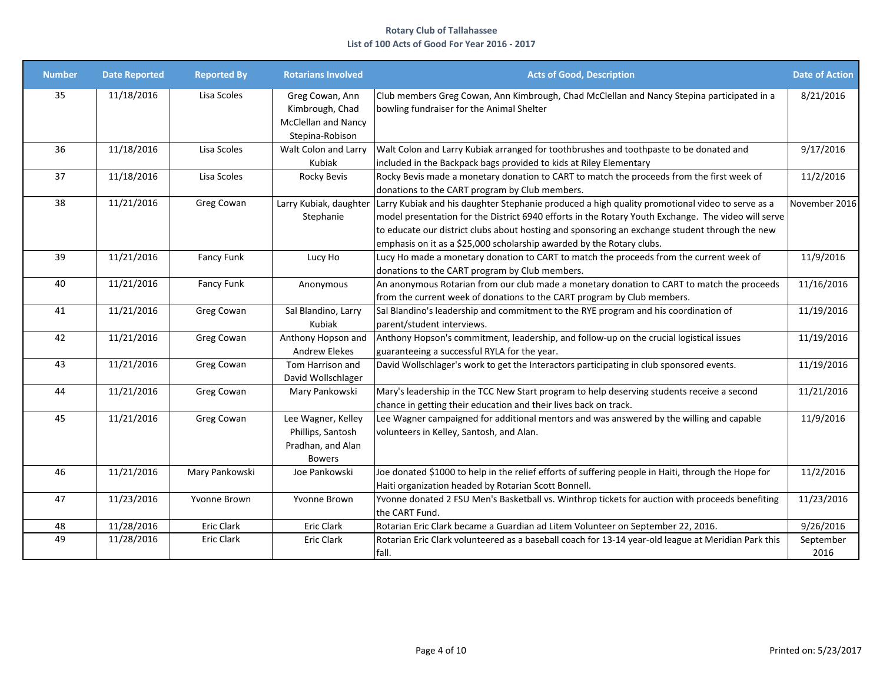| <b>Number</b> | <b>Date Reported</b> | <b>Reported By</b> | <b>Rotarians Involved</b>                                                     | <b>Acts of Good, Description</b>                                                                                                                                                                                                                                                                                                                                                  | <b>Date of Action</b> |
|---------------|----------------------|--------------------|-------------------------------------------------------------------------------|-----------------------------------------------------------------------------------------------------------------------------------------------------------------------------------------------------------------------------------------------------------------------------------------------------------------------------------------------------------------------------------|-----------------------|
| 35            | 11/18/2016           | Lisa Scoles        | Greg Cowan, Ann<br>Kimbrough, Chad<br>McClellan and Nancy<br>Stepina-Robison  | Club members Greg Cowan, Ann Kimbrough, Chad McClellan and Nancy Stepina participated in a<br>bowling fundraiser for the Animal Shelter                                                                                                                                                                                                                                           | 8/21/2016             |
| 36            | 11/18/2016           | Lisa Scoles        | Walt Colon and Larry<br>Kubiak                                                | Walt Colon and Larry Kubiak arranged for toothbrushes and toothpaste to be donated and<br>included in the Backpack bags provided to kids at Riley Elementary                                                                                                                                                                                                                      | 9/17/2016             |
| 37            | 11/18/2016           | Lisa Scoles        | Rocky Bevis                                                                   | Rocky Bevis made a monetary donation to CART to match the proceeds from the first week of<br>donations to the CART program by Club members.                                                                                                                                                                                                                                       | 11/2/2016             |
| 38            | 11/21/2016           | Greg Cowan         | Larry Kubiak, daughter<br>Stephanie                                           | Larry Kubiak and his daughter Stephanie produced a high quality promotional video to serve as a<br>model presentation for the District 6940 efforts in the Rotary Youth Exchange. The video will serve<br>to educate our district clubs about hosting and sponsoring an exchange student through the new<br>emphasis on it as a \$25,000 scholarship awarded by the Rotary clubs. | November 2016         |
| 39            | 11/21/2016           | Fancy Funk         | Lucy Ho                                                                       | Lucy Ho made a monetary donation to CART to match the proceeds from the current week of<br>donations to the CART program by Club members.                                                                                                                                                                                                                                         | 11/9/2016             |
| 40            | 11/21/2016           | Fancy Funk         | Anonymous                                                                     | An anonymous Rotarian from our club made a monetary donation to CART to match the proceeds<br>from the current week of donations to the CART program by Club members.                                                                                                                                                                                                             | 11/16/2016            |
| 41            | 11/21/2016           | Greg Cowan         | Sal Blandino, Larry<br>Kubiak                                                 | Sal Blandino's leadership and commitment to the RYE program and his coordination of<br>parent/student interviews.                                                                                                                                                                                                                                                                 | 11/19/2016            |
| 42            | 11/21/2016           | Greg Cowan         | Anthony Hopson and<br><b>Andrew Elekes</b>                                    | Anthony Hopson's commitment, leadership, and follow-up on the crucial logistical issues<br>guaranteeing a successful RYLA for the year.                                                                                                                                                                                                                                           | 11/19/2016            |
| 43            | 11/21/2016           | Greg Cowan         | Tom Harrison and<br>David Wollschlager                                        | David Wollschlager's work to get the Interactors participating in club sponsored events.                                                                                                                                                                                                                                                                                          | 11/19/2016            |
| 44            | 11/21/2016           | Greg Cowan         | Mary Pankowski                                                                | Mary's leadership in the TCC New Start program to help deserving students receive a second<br>chance in getting their education and their lives back on track.                                                                                                                                                                                                                    | 11/21/2016            |
| 45            | 11/21/2016           | Greg Cowan         | Lee Wagner, Kelley<br>Phillips, Santosh<br>Pradhan, and Alan<br><b>Bowers</b> | Lee Wagner campaigned for additional mentors and was answered by the willing and capable<br>volunteers in Kelley, Santosh, and Alan.                                                                                                                                                                                                                                              | 11/9/2016             |
| 46            | 11/21/2016           | Mary Pankowski     | Joe Pankowski                                                                 | Joe donated \$1000 to help in the relief efforts of suffering people in Haiti, through the Hope for<br>Haiti organization headed by Rotarian Scott Bonnell.                                                                                                                                                                                                                       | 11/2/2016             |
| 47            | 11/23/2016           | Yvonne Brown       | Yvonne Brown                                                                  | Yvonne donated 2 FSU Men's Basketball vs. Winthrop tickets for auction with proceeds benefiting<br>lthe CART Fund.                                                                                                                                                                                                                                                                | 11/23/2016            |
| 48            | 11/28/2016           | <b>Eric Clark</b>  | <b>Eric Clark</b>                                                             | Rotarian Eric Clark became a Guardian ad Litem Volunteer on September 22, 2016.                                                                                                                                                                                                                                                                                                   | 9/26/2016             |
| 49            | 11/28/2016           | <b>Eric Clark</b>  | Eric Clark                                                                    | Rotarian Eric Clark volunteered as a baseball coach for 13-14 year-old league at Meridian Park this<br>fall.                                                                                                                                                                                                                                                                      | September<br>2016     |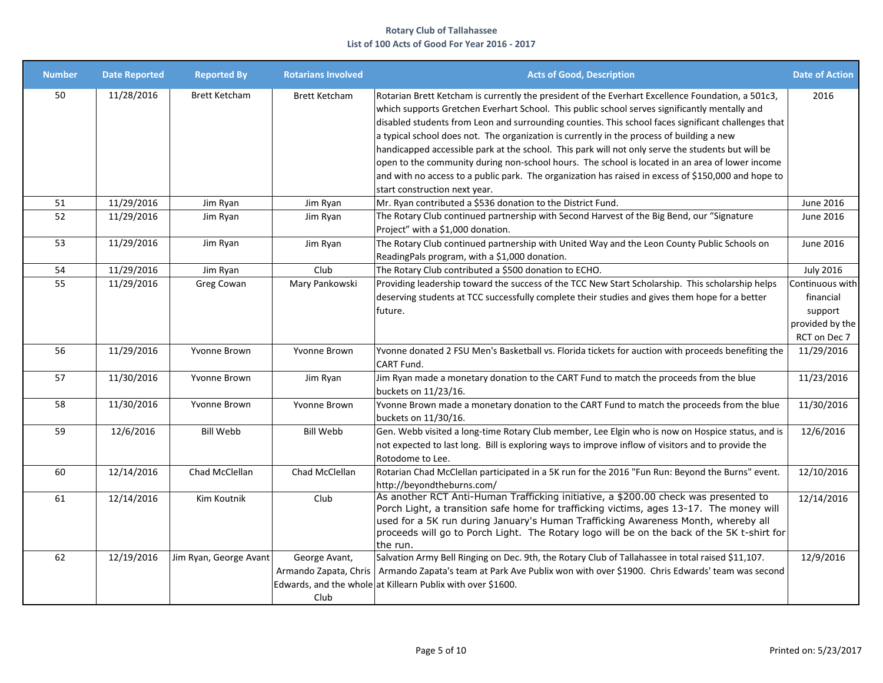| <b>Number</b> | <b>Date Reported</b> | <b>Reported By</b>     | <b>Rotarians Involved</b>                      | <b>Acts of Good, Description</b>                                                                                                                                                                                                                                                                                                                                                                                                                                                                                                                                                                                                                                                                                                                              | <b>Date of Action</b>                                      |
|---------------|----------------------|------------------------|------------------------------------------------|---------------------------------------------------------------------------------------------------------------------------------------------------------------------------------------------------------------------------------------------------------------------------------------------------------------------------------------------------------------------------------------------------------------------------------------------------------------------------------------------------------------------------------------------------------------------------------------------------------------------------------------------------------------------------------------------------------------------------------------------------------------|------------------------------------------------------------|
| 50            | 11/28/2016           | <b>Brett Ketcham</b>   | <b>Brett Ketcham</b>                           | Rotarian Brett Ketcham is currently the president of the Everhart Excellence Foundation, a 501c3,<br>which supports Gretchen Everhart School. This public school serves significantly mentally and<br>disabled students from Leon and surrounding counties. This school faces significant challenges that<br>$\alpha$ typical school does not. The organization is currently in the process of building a new<br>handicapped accessible park at the school. This park will not only serve the students but will be<br>open to the community during non-school hours. The school is located in an area of lower income<br>and with no access to a public park. The organization has raised in excess of \$150,000 and hope to<br>start construction next year. | 2016                                                       |
| 51            | 11/29/2016           | Jim Ryan               | Jim Ryan                                       | Mr. Ryan contributed a \$536 donation to the District Fund.                                                                                                                                                                                                                                                                                                                                                                                                                                                                                                                                                                                                                                                                                                   | June 2016                                                  |
| 52            | 11/29/2016           | Jim Ryan               | Jim Ryan                                       | The Rotary Club continued partnership with Second Harvest of the Big Bend, our "Signature<br>Project" with a \$1,000 donation.                                                                                                                                                                                                                                                                                                                                                                                                                                                                                                                                                                                                                                | June 2016                                                  |
| 53            | 11/29/2016           | Jim Ryan               | Jim Ryan                                       | The Rotary Club continued partnership with United Way and the Leon County Public Schools on<br>ReadingPals program, with a \$1,000 donation.                                                                                                                                                                                                                                                                                                                                                                                                                                                                                                                                                                                                                  | June 2016                                                  |
| 54            | 11/29/2016           | Jim Ryan               | Club                                           | The Rotary Club contributed a \$500 donation to ECHO.                                                                                                                                                                                                                                                                                                                                                                                                                                                                                                                                                                                                                                                                                                         | <b>July 2016</b>                                           |
| 55            | 11/29/2016           | Greg Cowan             | Mary Pankowski                                 | Providing leadership toward the success of the TCC New Start Scholarship. This scholarship helps<br>deserving students at TCC successfully complete their studies and gives them hope for a better<br>future.                                                                                                                                                                                                                                                                                                                                                                                                                                                                                                                                                 | Continuous with<br>financial<br>support<br>provided by the |
| 56            | 11/29/2016           | Yvonne Brown           | Yvonne Brown                                   | Yvonne donated 2 FSU Men's Basketball vs. Florida tickets for auction with proceeds benefiting the                                                                                                                                                                                                                                                                                                                                                                                                                                                                                                                                                                                                                                                            | RCT on Dec 7<br>11/29/2016                                 |
| 57            | 11/30/2016           | Yvonne Brown           | Jim Ryan                                       | CART Fund.<br>Jim Ryan made a monetary donation to the CART Fund to match the proceeds from the blue<br>buckets on 11/23/16.                                                                                                                                                                                                                                                                                                                                                                                                                                                                                                                                                                                                                                  | 11/23/2016                                                 |
| 58            | 11/30/2016           | Yvonne Brown           | Yvonne Brown                                   | Yvonne Brown made a monetary donation to the CART Fund to match the proceeds from the blue<br>buckets on 11/30/16.                                                                                                                                                                                                                                                                                                                                                                                                                                                                                                                                                                                                                                            | 11/30/2016                                                 |
| 59            | 12/6/2016            | <b>Bill Webb</b>       | <b>Bill Webb</b>                               | Gen. Webb visited a long-time Rotary Club member, Lee Elgin who is now on Hospice status, and is<br>not expected to last long. Bill is exploring ways to improve inflow of visitors and to provide the<br>Rotodome to Lee.                                                                                                                                                                                                                                                                                                                                                                                                                                                                                                                                    | 12/6/2016                                                  |
| 60            | 12/14/2016           | Chad McClellan         | Chad McClellan                                 | Rotarian Chad McClellan participated in a 5K run for the 2016 "Fun Run: Beyond the Burns" event.<br>http://beyondtheburns.com/                                                                                                                                                                                                                                                                                                                                                                                                                                                                                                                                                                                                                                | 12/10/2016                                                 |
| 61            | 12/14/2016           | Kim Koutnik            | Club                                           | As another RCT Anti-Human Trafficking initiative, a \$200.00 check was presented to<br>Porch Light, a transition safe home for trafficking victims, ages 13-17. The money will<br>used for a 5K run during January's Human Trafficking Awareness Month, whereby all<br>proceeds will go to Porch Light. The Rotary logo will be on the back of the 5K t-shirt for<br>the run.                                                                                                                                                                                                                                                                                                                                                                                 | 12/14/2016                                                 |
| 62            | 12/19/2016           | Jim Ryan, George Avant | George Avant,<br>Armando Zapata, Chris<br>Club | Salvation Army Bell Ringing on Dec. 9th, the Rotary Club of Tallahassee in total raised \$11,107.<br>Armando Zapata's team at Park Ave Publix won with over \$1900. Chris Edwards' team was second<br>Edwards, and the whole at Killearn Publix with over \$1600.                                                                                                                                                                                                                                                                                                                                                                                                                                                                                             | 12/9/2016                                                  |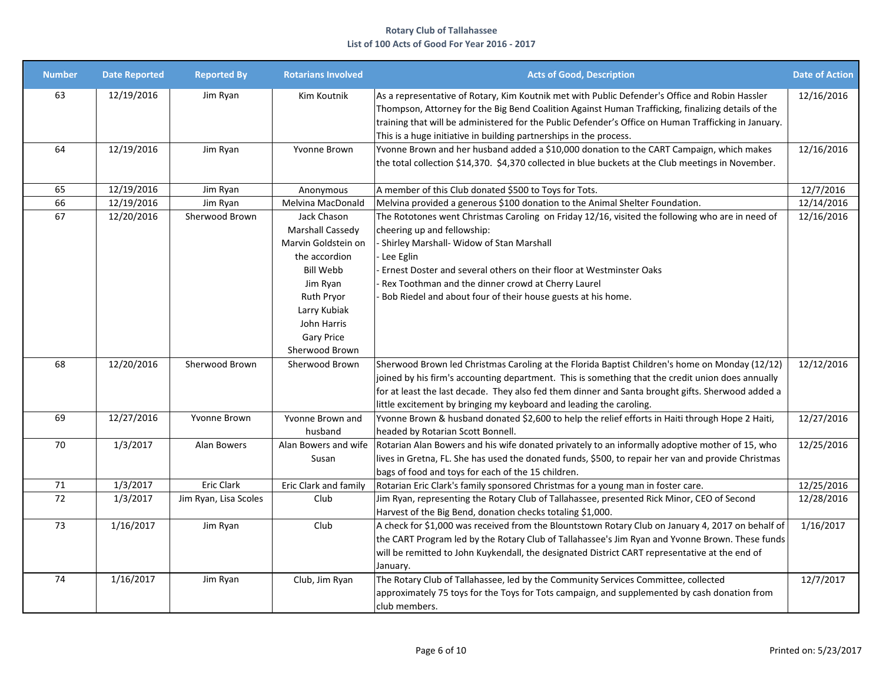| <b>Number</b> | <b>Date Reported</b> | <b>Reported By</b>    | <b>Rotarians Involved</b>                                                                                                                                                                   | <b>Acts of Good, Description</b>                                                                                                                                                                                                                                                                                                                                                         | <b>Date of Action</b> |
|---------------|----------------------|-----------------------|---------------------------------------------------------------------------------------------------------------------------------------------------------------------------------------------|------------------------------------------------------------------------------------------------------------------------------------------------------------------------------------------------------------------------------------------------------------------------------------------------------------------------------------------------------------------------------------------|-----------------------|
| 63            | 12/19/2016           | Jim Ryan              | Kim Koutnik                                                                                                                                                                                 | As a representative of Rotary, Kim Koutnik met with Public Defender's Office and Robin Hassler<br>Thompson, Attorney for the Big Bend Coalition Against Human Trafficking, finalizing details of the<br>training that will be administered for the Public Defender's Office on Human Trafficking in January.<br>This is a huge initiative in building partnerships in the process.       | 12/16/2016            |
| 64            | 12/19/2016           | Jim Ryan              | Yvonne Brown                                                                                                                                                                                | Yvonne Brown and her husband added a \$10,000 donation to the CART Campaign, which makes<br>the total collection \$14,370. \$4,370 collected in blue buckets at the Club meetings in November.                                                                                                                                                                                           | 12/16/2016            |
| 65            | 12/19/2016           | Jim Ryan              | Anonymous                                                                                                                                                                                   | A member of this Club donated \$500 to Toys for Tots.                                                                                                                                                                                                                                                                                                                                    | 12/7/2016             |
| 66            | 12/19/2016           | Jim Ryan              | Melvina MacDonald                                                                                                                                                                           | Melvina provided a generous \$100 donation to the Animal Shelter Foundation.                                                                                                                                                                                                                                                                                                             | 12/14/2016            |
| 67            | 12/20/2016           | Sherwood Brown        | Jack Chason<br>Marshall Cassedy<br>Marvin Goldstein on<br>the accordion<br>Bill Webb<br>Jim Ryan<br><b>Ruth Pryor</b><br>Larry Kubiak<br>John Harris<br><b>Gary Price</b><br>Sherwood Brown | The Rototones went Christmas Caroling on Friday 12/16, visited the following who are in need of<br>cheering up and fellowship:<br>- Shirley Marshall- Widow of Stan Marshall<br>- Lee Eglin<br>Ernest Doster and several others on their floor at Westminster Oaks<br>Rex Toothman and the dinner crowd at Cherry Laurel<br>Bob Riedel and about four of their house guests at his home. | 12/16/2016            |
| 68            | 12/20/2016           | Sherwood Brown        | Sherwood Brown                                                                                                                                                                              | Sherwood Brown led Christmas Caroling at the Florida Baptist Children's home on Monday (12/12)<br>joined by his firm's accounting department. This is something that the credit union does annually<br>for at least the last decade. They also fed them dinner and Santa brought gifts. Sherwood added a<br>little excitement by bringing my keyboard and leading the caroling.          | 12/12/2016            |
| 69            | 12/27/2016           | Yvonne Brown          | Yvonne Brown and<br>husband                                                                                                                                                                 | Yvonne Brown & husband donated \$2,600 to help the relief efforts in Haiti through Hope 2 Haiti,<br>headed by Rotarian Scott Bonnell.                                                                                                                                                                                                                                                    | 12/27/2016            |
| 70            | 1/3/2017             | Alan Bowers           | Alan Bowers and wife<br>Susan                                                                                                                                                               | Rotarian Alan Bowers and his wife donated privately to an informally adoptive mother of 15, who<br>lives in Gretna, FL. She has used the donated funds, \$500, to repair her van and provide Christmas<br>bags of food and toys for each of the 15 children.                                                                                                                             | 12/25/2016            |
| 71            | 1/3/2017             | <b>Eric Clark</b>     | Eric Clark and family                                                                                                                                                                       | Rotarian Eric Clark's family sponsored Christmas for a young man in foster care.                                                                                                                                                                                                                                                                                                         | 12/25/2016            |
| 72            | 1/3/2017             | Jim Ryan, Lisa Scoles | Club                                                                                                                                                                                        | Jim Ryan, representing the Rotary Club of Tallahassee, presented Rick Minor, CEO of Second<br>Harvest of the Big Bend, donation checks totaling \$1,000.                                                                                                                                                                                                                                 | 12/28/2016            |
| 73            | 1/16/2017            | Jim Ryan              | Club                                                                                                                                                                                        | A check for \$1,000 was received from the Blountstown Rotary Club on January 4, 2017 on behalf of<br>the CART Program led by the Rotary Club of Tallahassee's Jim Ryan and Yvonne Brown. These funds<br>will be remitted to John Kuykendall, the designated District CART representative at the end of<br>January.                                                                       | 1/16/2017             |
| 74            | 1/16/2017            | Jim Ryan              | Club, Jim Ryan                                                                                                                                                                              | The Rotary Club of Tallahassee, led by the Community Services Committee, collected<br>approximately 75 toys for the Toys for Tots campaign, and supplemented by cash donation from<br>club members.                                                                                                                                                                                      | 12/7/2017             |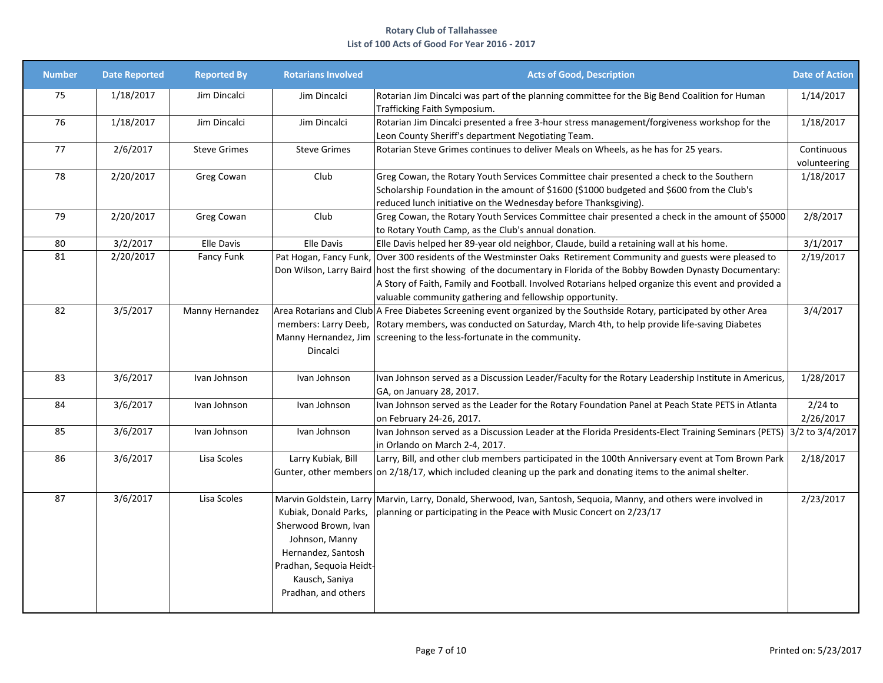| <b>Number</b> | <b>Date Reported</b> | <b>Reported By</b>  | <b>Rotarians Involved</b>                                                                                                                                 | <b>Acts of Good, Description</b>                                                                                                                                                                                                                                                                                                                                                       | <b>Date of Action</b>      |
|---------------|----------------------|---------------------|-----------------------------------------------------------------------------------------------------------------------------------------------------------|----------------------------------------------------------------------------------------------------------------------------------------------------------------------------------------------------------------------------------------------------------------------------------------------------------------------------------------------------------------------------------------|----------------------------|
| 75            | 1/18/2017            | Jim Dincalci        | Jim Dincalci                                                                                                                                              | Rotarian Jim Dincalci was part of the planning committee for the Big Bend Coalition for Human<br>Trafficking Faith Symposium.                                                                                                                                                                                                                                                          | 1/14/2017                  |
| 76            | 1/18/2017            | Jim Dincalci        | Jim Dincalci                                                                                                                                              | Rotarian Jim Dincalci presented a free 3-hour stress management/forgiveness workshop for the<br>Leon County Sheriff's department Negotiating Team.                                                                                                                                                                                                                                     | 1/18/2017                  |
| 77            | 2/6/2017             | <b>Steve Grimes</b> | <b>Steve Grimes</b>                                                                                                                                       | Rotarian Steve Grimes continues to deliver Meals on Wheels, as he has for 25 years.                                                                                                                                                                                                                                                                                                    | Continuous<br>volunteering |
| 78            | 2/20/2017            | Greg Cowan          | Club                                                                                                                                                      | Greg Cowan, the Rotary Youth Services Committee chair presented a check to the Southern<br>Scholarship Foundation in the amount of \$1600 (\$1000 budgeted and \$600 from the Club's<br>reduced lunch initiative on the Wednesday before Thanksgiving).                                                                                                                                | 1/18/2017                  |
| 79            | 2/20/2017            | Greg Cowan          | Club                                                                                                                                                      | Greg Cowan, the Rotary Youth Services Committee chair presented a check in the amount of \$5000<br>to Rotary Youth Camp, as the Club's annual donation.                                                                                                                                                                                                                                | 2/8/2017                   |
| 80            | 3/2/2017             | <b>Elle Davis</b>   | <b>Elle Davis</b>                                                                                                                                         | Elle Davis helped her 89-year old neighbor, Claude, build a retaining wall at his home.                                                                                                                                                                                                                                                                                                | 3/1/2017                   |
| 81            | 2/20/2017            | Fancy Funk          | Pat Hogan, Fancy Funk,                                                                                                                                    | Over 300 residents of the Westminster Oaks Retirement Community and guests were pleased to<br>Don Wilson, Larry Baird host the first showing of the documentary in Florida of the Bobby Bowden Dynasty Documentary:<br>A Story of Faith, Family and Football. Involved Rotarians helped organize this event and provided a<br>valuable community gathering and fellowship opportunity. | 2/19/2017                  |
| 82            | 3/5/2017             | Manny Hernandez     | Dincalci                                                                                                                                                  | Area Rotarians and Club A Free Diabetes Screening event organized by the Southside Rotary, participated by other Area<br>members: Larry Deeb, Rotary members, was conducted on Saturday, March 4th, to help provide life-saving Diabetes<br>Manny Hernandez, Jim   screening to the less-fortunate in the community.                                                                   | 3/4/2017                   |
| 83            | 3/6/2017             | Ivan Johnson        | Ivan Johnson                                                                                                                                              | Ivan Johnson served as a Discussion Leader/Faculty for the Rotary Leadership Institute in Americus,<br>GA, on January 28, 2017.                                                                                                                                                                                                                                                        | 1/28/2017                  |
| 84            | 3/6/2017             | Ivan Johnson        | Ivan Johnson                                                                                                                                              | Ivan Johnson served as the Leader for the Rotary Foundation Panel at Peach State PETS in Atlanta<br>on February 24-26, 2017.                                                                                                                                                                                                                                                           | $2/24$ to<br>2/26/2017     |
| 85            | 3/6/2017             | Ivan Johnson        | Ivan Johnson                                                                                                                                              | Ivan Johnson served as a Discussion Leader at the Florida Presidents-Elect Training Seminars (PETS) 3/2 to 3/4/2017<br>in Orlando on March 2-4, 2017.                                                                                                                                                                                                                                  |                            |
| 86            | 3/6/2017             | Lisa Scoles         | Larry Kubiak, Bill                                                                                                                                        | Larry, Bill, and other club members participated in the 100th Anniversary event at Tom Brown Park<br>Gunter, other members on 2/18/17, which included cleaning up the park and donating items to the animal shelter.                                                                                                                                                                   | 2/18/2017                  |
| 87            | 3/6/2017             | Lisa Scoles         | Kubiak, Donald Parks,<br>Sherwood Brown, Ivan<br>Johnson, Manny<br>Hernandez, Santosh<br>Pradhan, Sequoia Heidt-<br>Kausch, Saniya<br>Pradhan, and others | Marvin Goldstein, Larry Marvin, Larry, Donald, Sherwood, Ivan, Santosh, Sequoia, Manny, and others were involved in<br>planning or participating in the Peace with Music Concert on 2/23/17                                                                                                                                                                                            | 2/23/2017                  |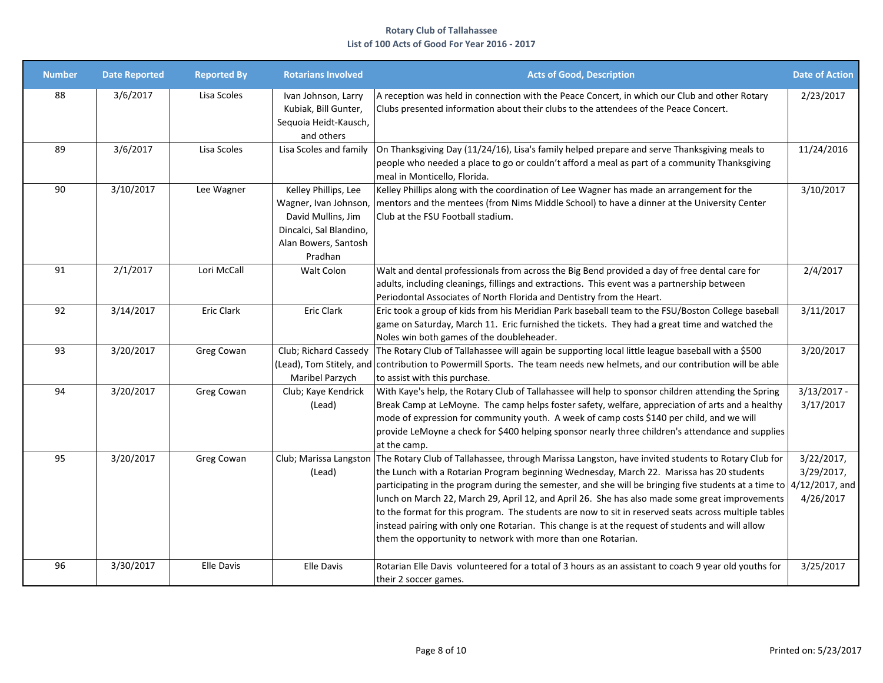| <b>Number</b> | <b>Date Reported</b> | <b>Reported By</b> | <b>Rotarians Involved</b>                                                                                                         | <b>Acts of Good, Description</b>                                                                                                                                                                                                                                                                                                                                                                                                                                                                                                                                                                                                                                                                                            | <b>Date of Action</b>                 |
|---------------|----------------------|--------------------|-----------------------------------------------------------------------------------------------------------------------------------|-----------------------------------------------------------------------------------------------------------------------------------------------------------------------------------------------------------------------------------------------------------------------------------------------------------------------------------------------------------------------------------------------------------------------------------------------------------------------------------------------------------------------------------------------------------------------------------------------------------------------------------------------------------------------------------------------------------------------------|---------------------------------------|
| 88            | 3/6/2017             | Lisa Scoles        | Ivan Johnson, Larry<br>Kubiak, Bill Gunter,<br>Sequoia Heidt-Kausch,<br>and others                                                | A reception was held in connection with the Peace Concert, in which our Club and other Rotary<br>Clubs presented information about their clubs to the attendees of the Peace Concert.                                                                                                                                                                                                                                                                                                                                                                                                                                                                                                                                       | 2/23/2017                             |
| 89            | 3/6/2017             | Lisa Scoles        | Lisa Scoles and family                                                                                                            | On Thanksgiving Day (11/24/16), Lisa's family helped prepare and serve Thanksgiving meals to<br>people who needed a place to go or couldn't afford a meal as part of a community Thanksgiving<br>meal in Monticello, Florida.                                                                                                                                                                                                                                                                                                                                                                                                                                                                                               | 11/24/2016                            |
| 90            | 3/10/2017            | Lee Wagner         | Kelley Phillips, Lee<br>Wagner, Ivan Johnson,<br>David Mullins, Jim<br>Dincalci, Sal Blandino,<br>Alan Bowers, Santosh<br>Pradhan | Kelley Phillips along with the coordination of Lee Wagner has made an arrangement for the<br>mentors and the mentees (from Nims Middle School) to have a dinner at the University Center<br>Club at the FSU Football stadium.                                                                                                                                                                                                                                                                                                                                                                                                                                                                                               | 3/10/2017                             |
| 91            | 2/1/2017             | Lori McCall        | Walt Colon                                                                                                                        | Walt and dental professionals from across the Big Bend provided a day of free dental care for<br>adults, including cleanings, fillings and extractions. This event was a partnership between<br>Periodontal Associates of North Florida and Dentistry from the Heart.                                                                                                                                                                                                                                                                                                                                                                                                                                                       | 2/4/2017                              |
| 92            | 3/14/2017            | Eric Clark         | Eric Clark                                                                                                                        | Eric took a group of kids from his Meridian Park baseball team to the FSU/Boston College baseball<br>game on Saturday, March 11. Eric furnished the tickets. They had a great time and watched the<br>Noles win both games of the doubleheader.                                                                                                                                                                                                                                                                                                                                                                                                                                                                             | 3/11/2017                             |
| 93            | 3/20/2017            | Greg Cowan         | Club; Richard Cassedy<br>(Lead), Tom Stitely, and<br>Maribel Parzych                                                              | The Rotary Club of Tallahassee will again be supporting local little league baseball with a \$500<br>contribution to Powermill Sports. The team needs new helmets, and our contribution will be able<br>to assist with this purchase.                                                                                                                                                                                                                                                                                                                                                                                                                                                                                       | 3/20/2017                             |
| 94            | 3/20/2017            | Greg Cowan         | Club; Kaye Kendrick<br>(Lead)                                                                                                     | With Kaye's help, the Rotary Club of Tallahassee will help to sponsor children attending the Spring<br>Break Camp at LeMoyne. The camp helps foster safety, welfare, appreciation of arts and a healthy<br>mode of expression for community youth. A week of camp costs \$140 per child, and we will<br>provide LeMoyne a check for \$400 helping sponsor nearly three children's attendance and supplies<br>at the camp.                                                                                                                                                                                                                                                                                                   | $3/13/2017 -$<br>3/17/2017            |
| 95            | 3/20/2017            | Greg Cowan         | (Lead)                                                                                                                            | Club; Marissa Langston The Rotary Club of Tallahassee, through Marissa Langston, have invited students to Rotary Club for<br>the Lunch with a Rotarian Program beginning Wednesday, March 22. Marissa has 20 students<br>participating in the program during the semester, and she will be bringing five students at a time to 4/12/2017, and<br>lunch on March 22, March 29, April 12, and April 26. She has also made some great improvements<br>to the format for this program. The students are now to sit in reserved seats across multiple tables<br>instead pairing with only one Rotarian. This change is at the request of students and will allow<br>them the opportunity to network with more than one Rotarian. | 3/22/2017,<br>3/29/2017,<br>4/26/2017 |
| 96            | 3/30/2017            | Elle Davis         | Elle Davis                                                                                                                        | Rotarian Elle Davis volunteered for a total of 3 hours as an assistant to coach 9 year old youths for<br>their 2 soccer games.                                                                                                                                                                                                                                                                                                                                                                                                                                                                                                                                                                                              | 3/25/2017                             |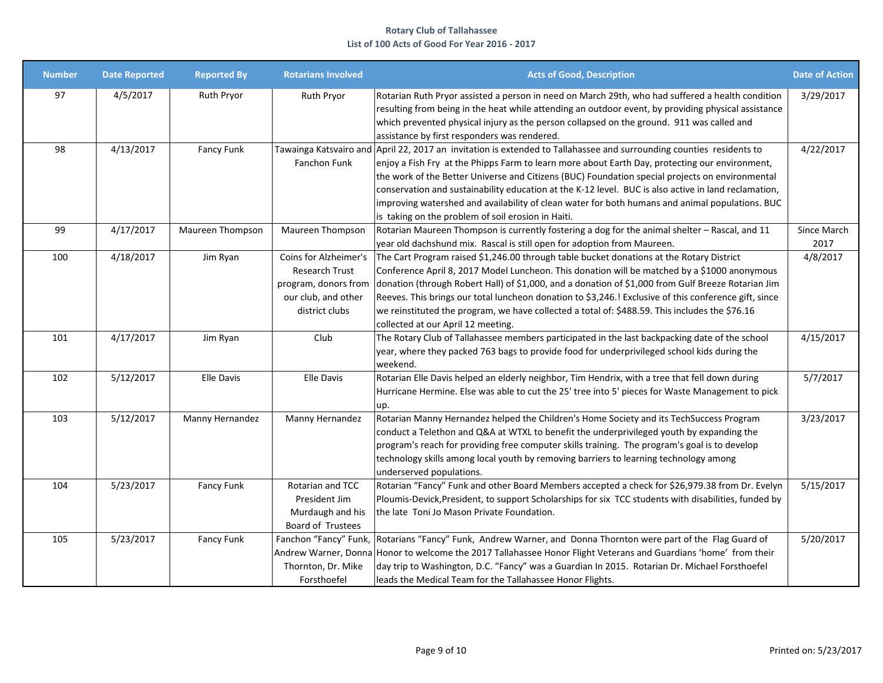| <b>Number</b> | <b>Date Reported</b> | <b>Reported By</b> | <b>Rotarians Involved</b>                                                                                       | <b>Acts of Good, Description</b>                                                                                                                                                                                                                                                                                                                                                                                                                                                                                                                                                           | <b>Date of Action</b> |
|---------------|----------------------|--------------------|-----------------------------------------------------------------------------------------------------------------|--------------------------------------------------------------------------------------------------------------------------------------------------------------------------------------------------------------------------------------------------------------------------------------------------------------------------------------------------------------------------------------------------------------------------------------------------------------------------------------------------------------------------------------------------------------------------------------------|-----------------------|
| 97            | 4/5/2017             | Ruth Pryor         | Ruth Pryor                                                                                                      | Rotarian Ruth Pryor assisted a person in need on March 29th, who had suffered a health condition<br>resulting from being in the heat while attending an outdoor event, by providing physical assistance<br>which prevented physical injury as the person collapsed on the ground. 911 was called and<br>assistance by first responders was rendered.                                                                                                                                                                                                                                       | 3/29/2017             |
| 98            | 4/13/2017            | Fancy Funk         | Fanchon Funk                                                                                                    | Tawainga Katsvairo and April 22, 2017 an invitation is extended to Tallahassee and surrounding counties residents to<br>enjoy a Fish Fry at the Phipps Farm to learn more about Earth Day, protecting our environment,<br>the work of the Better Universe and Citizens (BUC) Foundation special projects on environmental<br>conservation and sustainability education at the K-12 level. BUC is also active in land reclamation,<br>improving watershed and availability of clean water for both humans and animal populations. BUC<br>is taking on the problem of soil erosion in Haiti. | 4/22/2017             |
| 99            | 4/17/2017            | Maureen Thompson   | Maureen Thompson                                                                                                | Rotarian Maureen Thompson is currently fostering a dog for the animal shelter - Rascal, and 11<br>year old dachshund mix. Rascal is still open for adoption from Maureen.                                                                                                                                                                                                                                                                                                                                                                                                                  | Since March<br>2017   |
| 100           | 4/18/2017            | Jim Ryan           | Coins for Alzheimer's<br><b>Research Trust</b><br>program, donors from<br>our club, and other<br>district clubs | The Cart Program raised \$1,246.00 through table bucket donations at the Rotary District<br>Conference April 8, 2017 Model Luncheon. This donation will be matched by a \$1000 anonymous<br>donation (through Robert Hall) of \$1,000, and a donation of \$1,000 from Gulf Breeze Rotarian Jim<br>Reeves. This brings our total luncheon donation to \$3,246.! Exclusive of this conference gift, since<br>we reinstituted the program, we have collected a total of: \$488.59. This includes the \$76.16<br>collected at our April 12 meeting.                                            | 4/8/2017              |
| 101           | 4/17/2017            | Jim Ryan           | Club                                                                                                            | The Rotary Club of Tallahassee members participated in the last backpacking date of the school<br>year, where they packed 763 bags to provide food for underprivileged school kids during the<br>weekend.                                                                                                                                                                                                                                                                                                                                                                                  | 4/15/2017             |
| 102           | 5/12/2017            | Elle Davis         | <b>Elle Davis</b>                                                                                               | Rotarian Elle Davis helped an elderly neighbor, Tim Hendrix, with a tree that fell down during<br>Hurricane Hermine. Else was able to cut the 25' tree into 5' pieces for Waste Management to pick<br>up.                                                                                                                                                                                                                                                                                                                                                                                  | 5/7/2017              |
| 103           | 5/12/2017            | Manny Hernandez    | Manny Hernandez                                                                                                 | Rotarian Manny Hernandez helped the Children's Home Society and its TechSuccess Program<br>conduct a Telethon and Q&A at WTXL to benefit the underprivileged youth by expanding the<br>program's reach for providing free computer skills training. The program's goal is to develop<br>technology skills among local youth by removing barriers to learning technology among<br>underserved populations.                                                                                                                                                                                  | 3/23/2017             |
| 104           | 5/23/2017            | Fancy Funk         | Rotarian and TCC<br>President Jim<br>Murdaugh and his<br>Board of Trustees                                      | Rotarian "Fancy" Funk and other Board Members accepted a check for \$26,979.38 from Dr. Evelyn<br>Ploumis-Devick, President, to support Scholarships for six TCC students with disabilities, funded by<br>the late Toni Jo Mason Private Foundation.                                                                                                                                                                                                                                                                                                                                       | 5/15/2017             |
| 105           | 5/23/2017            | Fancy Funk         | Thornton, Dr. Mike<br>Forsthoefel                                                                               | Fanchon "Fancy" Funk, Rotarians "Fancy" Funk, Andrew Warner, and Donna Thornton were part of the Flag Guard of<br>Andrew Warner, Donna Honor to welcome the 2017 Tallahassee Honor Flight Veterans and Guardians 'home' from their<br>day trip to Washington, D.C. "Fancy" was a Guardian In 2015. Rotarian Dr. Michael Forsthoefel<br>leads the Medical Team for the Tallahassee Honor Flights.                                                                                                                                                                                           | 5/20/2017             |